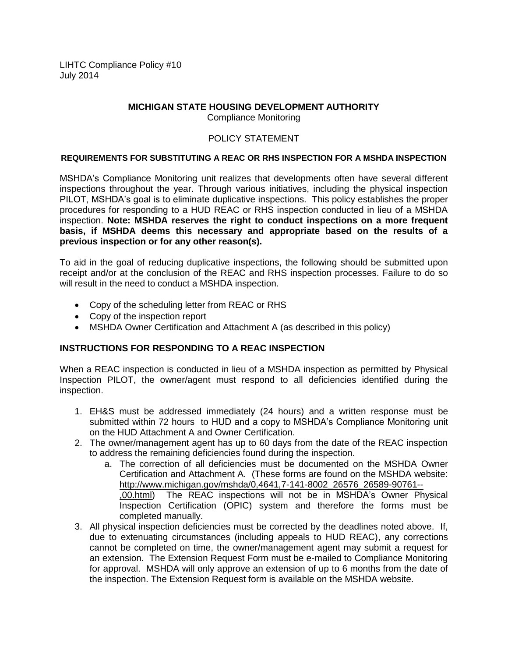LIHTC Compliance Policy #10 July 2014

# **MICHIGAN STATE HOUSING DEVELOPMENT AUTHORITY**

Compliance Monitoring

### POLICY STATEMENT

#### **REQUIREMENTS FOR SUBSTITUTING A REAC OR RHS INSPECTION FOR A MSHDA INSPECTION**

MSHDA's Compliance Monitoring unit realizes that developments often have several different inspections throughout the year. Through various initiatives, including the physical inspection PILOT, MSHDA's goal is to eliminate duplicative inspections. This policy establishes the proper procedures for responding to a HUD REAC or RHS inspection conducted in lieu of a MSHDA inspection. **Note: MSHDA reserves the right to conduct inspections on a more frequent basis, if MSHDA deems this necessary and appropriate based on the results of a previous inspection or for any other reason(s).**

To aid in the goal of reducing duplicative inspections, the following should be submitted upon receipt and/or at the conclusion of the REAC and RHS inspection processes. Failure to do so will result in the need to conduct a MSHDA inspection.

- Copy of the scheduling letter from REAC or RHS
- Copy of the inspection report
- MSHDA Owner Certification and Attachment A (as described in this policy)

## **INSTRUCTIONS FOR RESPONDING TO A REAC INSPECTION**

When a REAC inspection is conducted in lieu of a MSHDA inspection as permitted by Physical Inspection PILOT, the owner/agent must respond to all deficiencies identified during the inspection.

- 1. EH&S must be addressed immediately (24 hours) and a written response must be submitted within 72 hours to HUD and a copy to MSHDA's Compliance Monitoring unit on the HUD Attachment A and Owner Certification.
- 2. The owner/management agent has up to 60 days from the date of the REAC inspection to address the remaining deficiencies found during the inspection.
	- a. The correction of all deficiencies must be documented on the MSHDA Owner Certification and Attachment A. (These forms are found on the MSHDA website: http://www.michigan.gov/mshda/0,4641,7-141-8002\_26576\_26589-90761-- ,00.html) The REAC inspections will not be in MSHDA's Owner Physical Inspection Certification (OPIC) system and therefore the forms must be completed manually.
- 3. All physical inspection deficiencies must be corrected by the deadlines noted above. If, due to extenuating circumstances (including appeals to HUD REAC), any corrections cannot be completed on time, the owner/management agent may submit a request for an extension. The Extension Request Form must be e-mailed to Compliance Monitoring for approval. MSHDA will only approve an extension of up to 6 months from the date of the inspection. The Extension Request form is available on the MSHDA website.